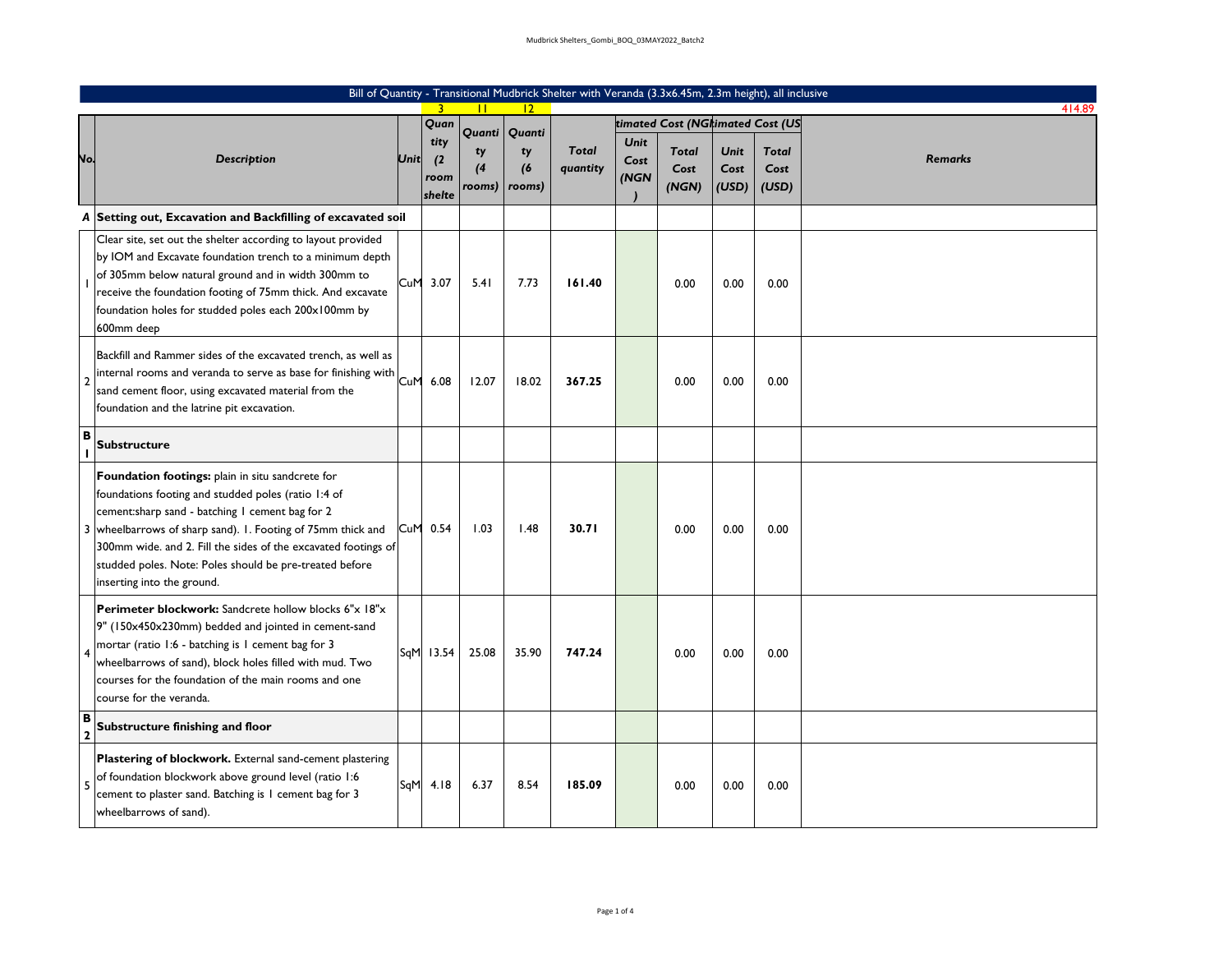|                     | Bill of Quantity - Transitional Mudbrick Shelter with Veranda (3.3x6.45m, 2.3m height), all inclusive                                                                                                                                                                                                                                                                                |      |                               |                    |                     |                          |                             |                                  |                       |                               |                |  |  |
|---------------------|--------------------------------------------------------------------------------------------------------------------------------------------------------------------------------------------------------------------------------------------------------------------------------------------------------------------------------------------------------------------------------------|------|-------------------------------|--------------------|---------------------|--------------------------|-----------------------------|----------------------------------|-----------------------|-------------------------------|----------------|--|--|
|                     |                                                                                                                                                                                                                                                                                                                                                                                      |      | $\mathbf{3}$                  |                    | $ 2\rangle$         |                          |                             |                                  |                       |                               | 414.89         |  |  |
|                     |                                                                                                                                                                                                                                                                                                                                                                                      |      | Quan                          | Quanti             | Quanti              |                          |                             | timated Cost (NGrimated Cost (US |                       |                               |                |  |  |
| <br>Vo.             | Description                                                                                                                                                                                                                                                                                                                                                                          | Unit | tity<br>(2)<br>room<br>shelte | ty<br>(4<br>rooms) | ty<br>(6)<br>rooms) | <b>Total</b><br>quantity | <b>Unit</b><br>Cost<br>(NGN | <b>Total</b><br>Cost<br>(NGN)    | Unit<br>Cost<br>(USD) | <b>Total</b><br>Cost<br>(USD) | <b>Remarks</b> |  |  |
|                     | A Setting out, Excavation and Backfilling of excavated soil                                                                                                                                                                                                                                                                                                                          |      |                               |                    |                     |                          |                             |                                  |                       |                               |                |  |  |
|                     | Clear site, set out the shelter according to layout provided<br>by IOM and Excavate foundation trench to a minimum depth<br>of 305mm below natural ground and in width 300mm to<br>receive the foundation footing of 75mm thick. And excavate<br>foundation holes for studded poles each 200x100mm by<br>600mm deep                                                                  | CuM  | 3.07                          | 5.41               | 7.73                | 161.40                   |                             | 0.00                             | 0.00                  | 0.00                          |                |  |  |
| $\overline{2}$      | Backfill and Rammer sides of the excavated trench, as well as<br>internal rooms and veranda to serve as base for finishing with<br>sand cement floor, using excavated material from the<br>foundation and the latrine pit excavation.                                                                                                                                                | CuM  | 6.08                          | 12.07              | 18.02               | 367.25                   |                             | 0.00                             | 0.00                  | 0.00                          |                |  |  |
| в                   | <b>Substructure</b>                                                                                                                                                                                                                                                                                                                                                                  |      |                               |                    |                     |                          |                             |                                  |                       |                               |                |  |  |
|                     | Foundation footings: plain in situ sandcrete for<br>foundations footing and studded poles (ratio 1:4 of<br>cement:sharp sand - batching I cement bag for 2<br>3 wheelbarrows of sharp sand). 1. Footing of 75mm thick and<br>300mm wide. and 2. Fill the sides of the excavated footings of<br>studded poles. Note: Poles should be pre-treated before<br>inserting into the ground. | CuM  | 0.54                          | 1.03               | 1.48                | 30.71                    |                             | 0.00                             | 0.00                  | 0.00                          |                |  |  |
| $\overline{4}$      | Perimeter blockwork: Sandcrete hollow blocks 6"x 18"x<br>9" (150x450x230mm) bedded and jointed in cement-sand<br>mortar (ratio 1:6 - batching is 1 cement bag for 3<br>wheelbarrows of sand), block holes filled with mud. Two<br>courses for the foundation of the main rooms and one<br>course for the veranda.                                                                    |      | SqM 13.54                     | 25.08              | 35.90               | 747.24                   |                             | 0.00                             | 0.00                  | 0.00                          |                |  |  |
| B<br>$\overline{2}$ | Substructure finishing and floor                                                                                                                                                                                                                                                                                                                                                     |      |                               |                    |                     |                          |                             |                                  |                       |                               |                |  |  |
| 5                   | Plastering of blockwork. External sand-cement plastering<br>of foundation blockwork above ground level (ratio 1:6<br>cement to plaster sand. Batching is 1 cement bag for 3<br>wheelbarrows of sand).                                                                                                                                                                                | SqM  | 4.18                          | 6.37               | 8.54                | 185.09                   |                             | 0.00                             | 0.00                  | 0.00                          |                |  |  |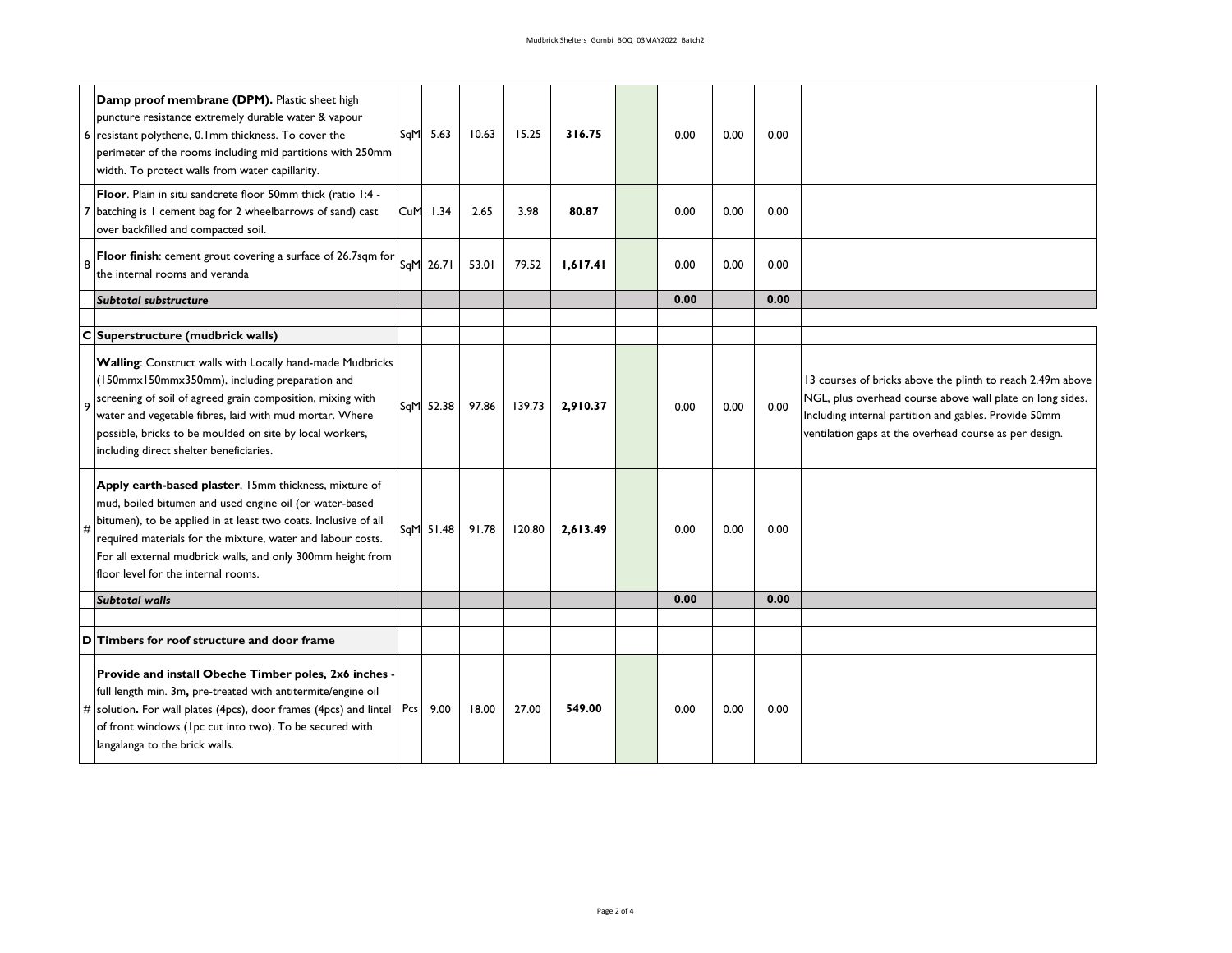| 6           | Damp proof membrane (DPM). Plastic sheet high<br>puncture resistance extremely durable water & vapour<br>resistant polythene, 0.1mm thickness. To cover the<br>perimeter of the rooms including mid partitions with 250mm<br>width. To protect walls from water capillarity.                                                                             | SqM | 5.63      | 10.63 | 15.25  | 316.75   | 0.00 | 0.00 | 0.00 |                                                                                                                                                                                                                                            |
|-------------|----------------------------------------------------------------------------------------------------------------------------------------------------------------------------------------------------------------------------------------------------------------------------------------------------------------------------------------------------------|-----|-----------|-------|--------|----------|------|------|------|--------------------------------------------------------------------------------------------------------------------------------------------------------------------------------------------------------------------------------------------|
|             | Floor. Plain in situ sandcrete floor 50mm thick (ratio 1:4 -<br>batching is 1 cement bag for 2 wheelbarrows of sand) cast<br>over backfilled and compacted soil.                                                                                                                                                                                         | CuM | 1.34      | 2.65  | 3.98   | 80.87    | 0.00 | 0.00 | 0.00 |                                                                                                                                                                                                                                            |
| 8           | Floor finish: cement grout covering a surface of 26.7sqm for<br>the internal rooms and veranda                                                                                                                                                                                                                                                           | SqM | 26.71     | 53.01 | 79.52  | 1,617.41 | 0.00 | 0.00 | 0.00 |                                                                                                                                                                                                                                            |
|             | Subtotal substructure                                                                                                                                                                                                                                                                                                                                    |     |           |       |        |          | 0.00 |      | 0.00 |                                                                                                                                                                                                                                            |
|             |                                                                                                                                                                                                                                                                                                                                                          |     |           |       |        |          |      |      |      |                                                                                                                                                                                                                                            |
| $\mathbf C$ | Superstructure (mudbrick walls)                                                                                                                                                                                                                                                                                                                          |     |           |       |        |          |      |      |      |                                                                                                                                                                                                                                            |
| 9           | Walling: Construct walls with Locally hand-made Mudbricks<br>(150mmx150mmx350mm), including preparation and<br>screening of soil of agreed grain composition, mixing with<br>water and vegetable fibres, laid with mud mortar. Where<br>possible, bricks to be moulded on site by local workers,<br>including direct shelter beneficiaries.              | SqM | 52.38     | 97.86 | 139.73 | 2,910.37 | 0.00 | 0.00 | 0.00 | 13 courses of bricks above the plinth to reach 2.49m above<br>NGL, plus overhead course above wall plate on long sides.<br>Including internal partition and gables. Provide 50mm<br>ventilation gaps at the overhead course as per design. |
| #           | Apply earth-based plaster, 15mm thickness, mixture of<br>mud, boiled bitumen and used engine oil (or water-based<br>bitumen), to be applied in at least two coats. Inclusive of all<br>required materials for the mixture, water and labour costs.<br>For all external mudbrick walls, and only 300mm height from<br>floor level for the internal rooms. |     | SqM 51.48 | 91.78 | 120.80 | 2,613.49 | 0.00 | 0.00 | 0.00 |                                                                                                                                                                                                                                            |
|             | <b>Subtotal walls</b>                                                                                                                                                                                                                                                                                                                                    |     |           |       |        |          | 0.00 |      | 0.00 |                                                                                                                                                                                                                                            |
|             |                                                                                                                                                                                                                                                                                                                                                          |     |           |       |        |          |      |      |      |                                                                                                                                                                                                                                            |
| D           | Timbers for roof structure and door frame                                                                                                                                                                                                                                                                                                                |     |           |       |        |          |      |      |      |                                                                                                                                                                                                                                            |
|             | Provide and install Obeche Timber poles, 2x6 inches<br>full length min. 3m, pre-treated with antitermite/engine oil<br># solution. For wall plates (4pcs), door frames (4pcs) and lintel<br>of front windows (Ipc cut into two). To be secured with<br>langalanga to the brick walls.                                                                    | Pcs | 9.00      | 18.00 | 27.00  | 549.00   | 0.00 | 0.00 | 0.00 |                                                                                                                                                                                                                                            |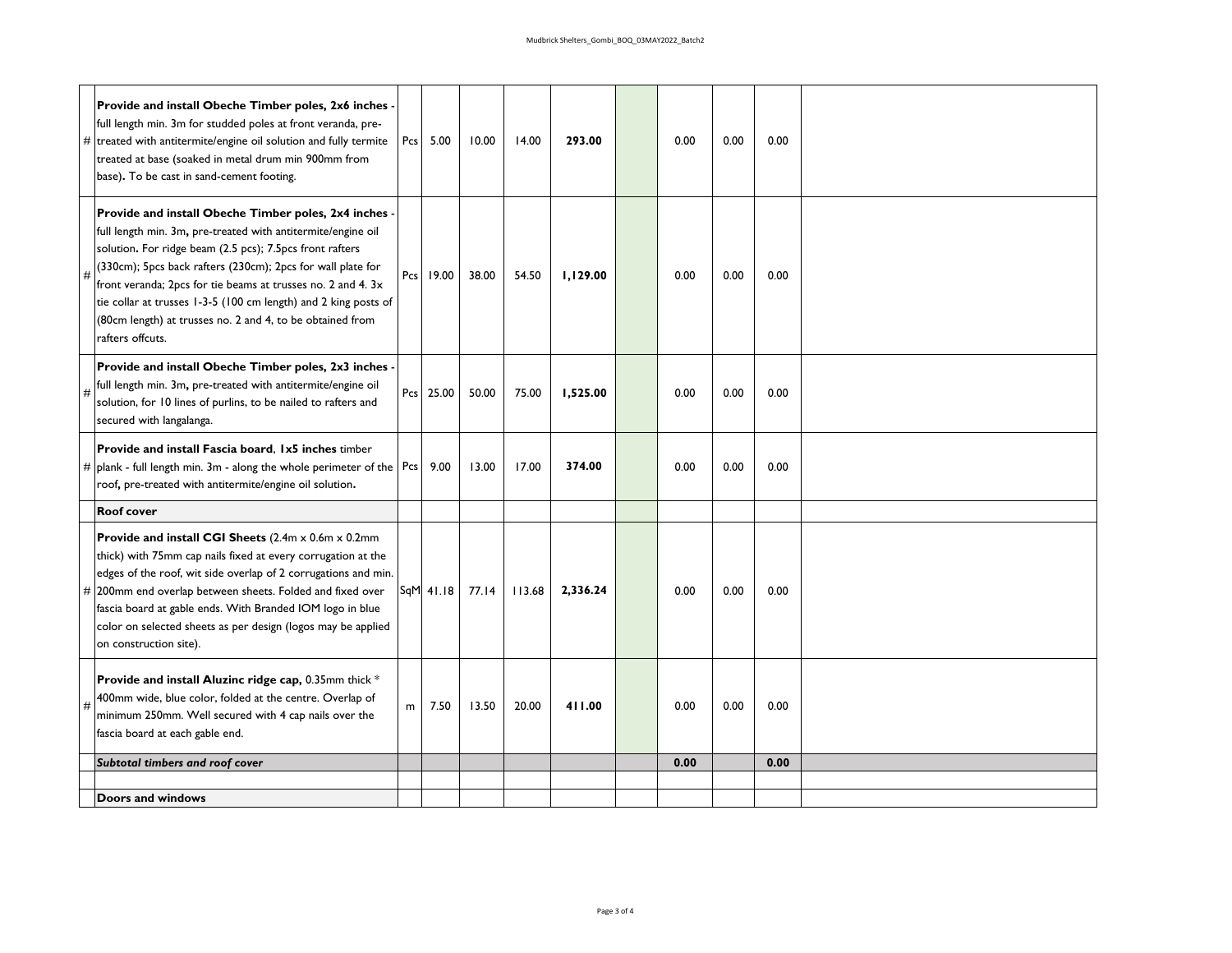|   | Provide and install Obeche Timber poles, 2x6 inches<br>full length min. 3m for studded poles at front veranda, pre-<br>$\#$ treated with antitermite/engine oil solution and fully termite<br>treated at base (soaked in metal drum min 900mm from<br>base). To be cast in sand-cement footing.                                                                                                                                                                    | Pcs | 5.00        | 10.00 | 14.00  | 293.00   | 0.00 | 0.00 | 0.00 |  |
|---|--------------------------------------------------------------------------------------------------------------------------------------------------------------------------------------------------------------------------------------------------------------------------------------------------------------------------------------------------------------------------------------------------------------------------------------------------------------------|-----|-------------|-------|--------|----------|------|------|------|--|
|   | Provide and install Obeche Timber poles, 2x4 inches<br>full length min. 3m, pre-treated with antitermite/engine oil<br>solution. For ridge beam (2.5 pcs); 7.5pcs front rafters<br>(330cm); 5pcs back rafters (230cm); 2pcs for wall plate for<br>front veranda; 2pcs for tie beams at trusses no. 2 and 4. 3x<br>tie collar at trusses 1-3-5 (100 cm length) and 2 king posts of<br>(80cm length) at trusses no. 2 and 4, to be obtained from<br>rafters offcuts. |     | Pcs 19.00   | 38.00 | 54.50  | 1,129.00 | 0.00 | 0.00 | 0.00 |  |
| # | Provide and install Obeche Timber poles, 2x3 inches<br>full length min. 3m, pre-treated with antitermite/engine oil<br>solution, for 10 lines of purlins, to be nailed to rafters and<br>secured with langalanga.                                                                                                                                                                                                                                                  |     | Pcs 25.00   | 50.00 | 75.00  | 1,525.00 | 0.00 | 0.00 | 0.00 |  |
|   | Provide and install Fascia board, 1x5 inches timber<br># plank - full length min. 3m - along the whole perimeter of the $ Pcs $<br>roof, pre-treated with antitermite/engine oil solution.                                                                                                                                                                                                                                                                         |     | 9.00        | 13.00 | 17.00  | 374.00   | 0.00 | 0.00 | 0.00 |  |
|   | <b>Roof cover</b>                                                                                                                                                                                                                                                                                                                                                                                                                                                  |     |             |       |        |          |      |      |      |  |
|   | <b>Provide and install CGI Sheets</b> (2.4m x 0.6m x 0.2mm<br>thick) with 75mm cap nails fixed at every corrugation at the<br>edges of the roof, wit side overlap of 2 corrugations and min.<br># 200mm end overlap between sheets. Folded and fixed over<br>fascia board at gable ends. With Branded IOM logo in blue<br>color on selected sheets as per design (logos may be applied<br>on construction site).                                                   |     | $SqM$ 41.18 | 77.14 | 113.68 | 2,336.24 | 0.00 | 0.00 | 0.00 |  |
| # | Provide and install Aluzinc ridge cap, 0.35mm thick *<br>400mm wide, blue color, folded at the centre. Overlap of<br>minimum 250mm. Well secured with 4 cap nails over the<br>fascia board at each gable end.                                                                                                                                                                                                                                                      | m   | 7.50        | 13.50 | 20.00  | 411.00   | 0.00 | 0.00 | 0.00 |  |
|   | Subtotal timbers and roof cover                                                                                                                                                                                                                                                                                                                                                                                                                                    |     |             |       |        |          | 0.00 |      | 0.00 |  |
|   | Doors and windows                                                                                                                                                                                                                                                                                                                                                                                                                                                  |     |             |       |        |          |      |      |      |  |
|   |                                                                                                                                                                                                                                                                                                                                                                                                                                                                    |     |             |       |        |          |      |      |      |  |